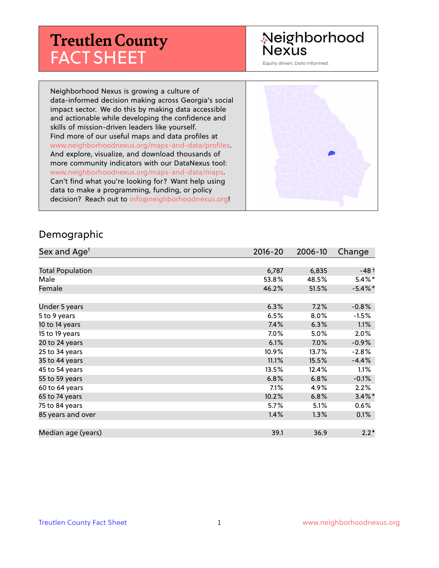# **Treutlen County** FACT SHEET

## Neighborhood **Nexus**

Equity driven. Data informed.

Neighborhood Nexus is growing a culture of data-informed decision making across Georgia's social impact sector. We do this by making data accessible and actionable while developing the confidence and skills of mission-driven leaders like yourself. Find more of our useful maps and data profiles at www.neighborhoodnexus.org/maps-and-data/profiles. And explore, visualize, and download thousands of more community indicators with our DataNexus tool: www.neighborhoodnexus.org/maps-and-data/maps. Can't find what you're looking for? Want help using data to make a programming, funding, or policy decision? Reach out to [info@neighborhoodnexus.org!](mailto:info@neighborhoodnexus.org)



#### Demographic

| Sex and Age <sup>1</sup> | $2016 - 20$ | 2006-10 | Change     |
|--------------------------|-------------|---------|------------|
|                          |             |         |            |
| <b>Total Population</b>  | 6,787       | 6,835   | $-48+$     |
| Male                     | 53.8%       | 48.5%   | $5.4\%$ *  |
| Female                   | 46.2%       | 51.5%   | $-5.4\%$ * |
|                          |             |         |            |
| Under 5 years            | 6.3%        | 7.2%    | $-0.8%$    |
| 5 to 9 years             | 6.5%        | 8.0%    | $-1.5%$    |
| 10 to 14 years           | 7.4%        | 6.3%    | 1.1%       |
| 15 to 19 years           | 7.0%        | 5.0%    | 2.0%       |
| 20 to 24 years           | 6.1%        | $7.0\%$ | $-0.9%$    |
| 25 to 34 years           | 10.9%       | 13.7%   | $-2.8%$    |
| 35 to 44 years           | 11.1%       | 15.5%   | $-4.4%$    |
| 45 to 54 years           | 13.5%       | 12.4%   | $1.1\%$    |
| 55 to 59 years           | 6.8%        | 6.8%    | $-0.1%$    |
| 60 to 64 years           | 7.1%        | 4.9%    | 2.2%       |
| 65 to 74 years           | 10.2%       | 6.8%    | $3.4\%$ *  |
| 75 to 84 years           | 5.7%        | 5.1%    | $0.6\%$    |
| 85 years and over        | 1.4%        | 1.3%    | 0.1%       |
|                          |             |         |            |
| Median age (years)       | 39.1        | 36.9    | $2.2*$     |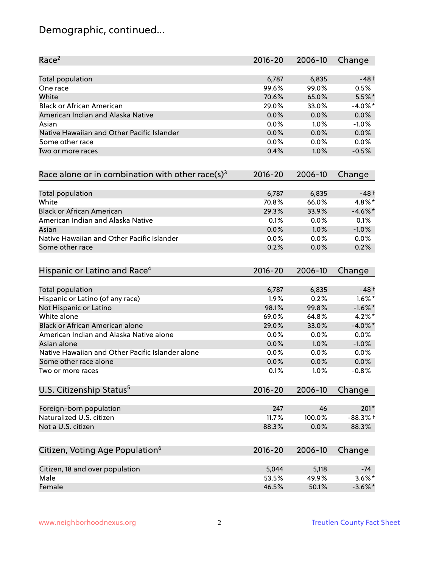## Demographic, continued...

| Race <sup>2</sup>                                            | $2016 - 20$ | 2006-10 | Change     |
|--------------------------------------------------------------|-------------|---------|------------|
| <b>Total population</b>                                      | 6,787       | 6,835   | $-48+$     |
| One race                                                     | 99.6%       | 99.0%   | 0.5%       |
| White                                                        | 70.6%       | 65.0%   | $5.5%$ *   |
| <b>Black or African American</b>                             | 29.0%       | 33.0%   | $-4.0\%$ * |
| American Indian and Alaska Native                            | 0.0%        | 0.0%    | 0.0%       |
| Asian                                                        | 0.0%        | 1.0%    | $-1.0%$    |
| Native Hawaiian and Other Pacific Islander                   | 0.0%        | 0.0%    | 0.0%       |
| Some other race                                              | 0.0%        | 0.0%    | 0.0%       |
| Two or more races                                            | 0.4%        | 1.0%    | $-0.5%$    |
| Race alone or in combination with other race(s) <sup>3</sup> | $2016 - 20$ | 2006-10 | Change     |
| Total population                                             | 6,787       | 6,835   | $-48+$     |
| White                                                        | 70.8%       | 66.0%   | 4.8%*      |
| <b>Black or African American</b>                             | 29.3%       | 33.9%   | $-4.6\%$ * |
| American Indian and Alaska Native                            | 0.1%        | 0.0%    | 0.1%       |
| Asian                                                        | 0.0%        | 1.0%    | $-1.0%$    |
| Native Hawaiian and Other Pacific Islander                   | 0.0%        | 0.0%    | 0.0%       |
| Some other race                                              | 0.2%        | 0.0%    | 0.2%       |
| Hispanic or Latino and Race <sup>4</sup>                     | $2016 - 20$ | 2006-10 | Change     |
| <b>Total population</b>                                      | 6,787       | 6,835   | $-48+$     |
| Hispanic or Latino (of any race)                             | 1.9%        | 0.2%    | $1.6\%$ *  |
| Not Hispanic or Latino                                       | 98.1%       | 99.8%   | $-1.6\%$ * |
| White alone                                                  | 69.0%       | 64.8%   | $4.2\%$ *  |
| Black or African American alone                              | 29.0%       | 33.0%   | $-4.0\%$ * |
| American Indian and Alaska Native alone                      | 0.0%        | $0.0\%$ | 0.0%       |
| Asian alone                                                  | 0.0%        | 1.0%    | $-1.0%$    |
| Native Hawaiian and Other Pacific Islander alone             | 0.0%        | 0.0%    | 0.0%       |
| Some other race alone                                        | 0.0%        | 0.0%    | 0.0%       |
| Two or more races                                            | 0.1%        | 1.0%    | $-0.8%$    |
| U.S. Citizenship Status <sup>5</sup>                         | $2016 - 20$ | 2006-10 | Change     |
| Foreign-born population                                      | 247         | 46      | $201*$     |
| Naturalized U.S. citizen                                     | 11.7%       | 100.0%  | $-88.3%$ † |
| Not a U.S. citizen                                           | 88.3%       | 0.0%    | 88.3%      |
|                                                              |             |         |            |
| Citizen, Voting Age Population <sup>6</sup>                  | $2016 - 20$ | 2006-10 | Change     |
| Citizen, 18 and over population                              | 5,044       | 5,118   | $-74$      |
| Male                                                         | 53.5%       | 49.9%   | $3.6\%$ *  |
| Female                                                       | 46.5%       | 50.1%   | $-3.6\%$ * |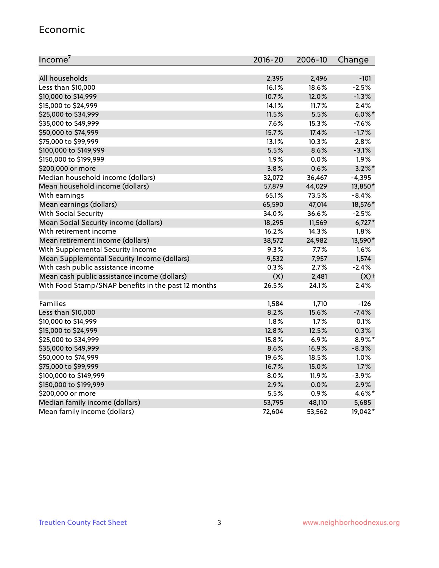#### Economic

| Income <sup>7</sup>                                 | $2016 - 20$ | 2006-10 | Change             |
|-----------------------------------------------------|-------------|---------|--------------------|
|                                                     |             |         |                    |
| All households                                      | 2,395       | 2,496   | $-101$             |
| Less than \$10,000                                  | 16.1%       | 18.6%   | $-2.5%$            |
| \$10,000 to \$14,999                                | 10.7%       | 12.0%   | $-1.3%$            |
| \$15,000 to \$24,999                                | 14.1%       | 11.7%   | 2.4%               |
| \$25,000 to \$34,999                                | 11.5%       | 5.5%    | $6.0\%$ *          |
| \$35,000 to \$49,999                                | 7.6%        | 15.3%   | $-7.6%$            |
| \$50,000 to \$74,999                                | 15.7%       | 17.4%   | $-1.7%$            |
| \$75,000 to \$99,999                                | 13.1%       | 10.3%   | 2.8%               |
| \$100,000 to \$149,999                              | 5.5%        | 8.6%    | $-3.1%$            |
| \$150,000 to \$199,999                              | 1.9%        | 0.0%    | 1.9%               |
| \$200,000 or more                                   | 3.8%        | 0.6%    | $3.2\%$ *          |
| Median household income (dollars)                   | 32,072      | 36,467  | $-4,395$           |
| Mean household income (dollars)                     | 57,879      | 44,029  | 13,850*            |
| With earnings                                       | 65.1%       | 73.5%   | $-8.4%$            |
| Mean earnings (dollars)                             | 65,590      | 47,014  | 18,576*            |
| <b>With Social Security</b>                         | 34.0%       | 36.6%   | $-2.5%$            |
| Mean Social Security income (dollars)               | 18,295      | 11,569  | $6,727*$           |
| With retirement income                              | 16.2%       | 14.3%   | 1.8%               |
| Mean retirement income (dollars)                    | 38,572      | 24,982  | 13,590*            |
| With Supplemental Security Income                   | $9.3\%$     | 7.7%    | 1.6%               |
| Mean Supplemental Security Income (dollars)         | 9,532       | 7,957   | 1,574              |
| With cash public assistance income                  | 0.3%        | 2.7%    | $-2.4%$            |
| Mean cash public assistance income (dollars)        | (X)         | 2,481   | $(X)$ <sup>+</sup> |
| With Food Stamp/SNAP benefits in the past 12 months | 26.5%       | 24.1%   | 2.4%               |
|                                                     |             |         |                    |
| Families                                            | 1,584       | 1,710   | $-126$             |
| Less than \$10,000                                  | 8.2%        | 15.6%   | $-7.4%$            |
| \$10,000 to \$14,999                                | 1.8%        | 1.7%    | 0.1%               |
| \$15,000 to \$24,999                                | 12.8%       | 12.5%   | 0.3%               |
| \$25,000 to \$34,999                                | 15.8%       | 6.9%    | 8.9%*              |
| \$35,000 to \$49,999                                | 8.6%        | 16.9%   | $-8.3%$            |
| \$50,000 to \$74,999                                | 19.6%       | 18.5%   | 1.0%               |
| \$75,000 to \$99,999                                | 16.7%       | 15.0%   | 1.7%               |
| \$100,000 to \$149,999                              | $8.0\%$     | 11.9%   | $-3.9%$            |
| \$150,000 to \$199,999                              | 2.9%        | 0.0%    | 2.9%               |
| \$200,000 or more                                   | 5.5%        | 0.9%    | 4.6%*              |
| Median family income (dollars)                      | 53,795      | 48,110  | 5,685              |
| Mean family income (dollars)                        | 72,604      | 53,562  | 19,042*            |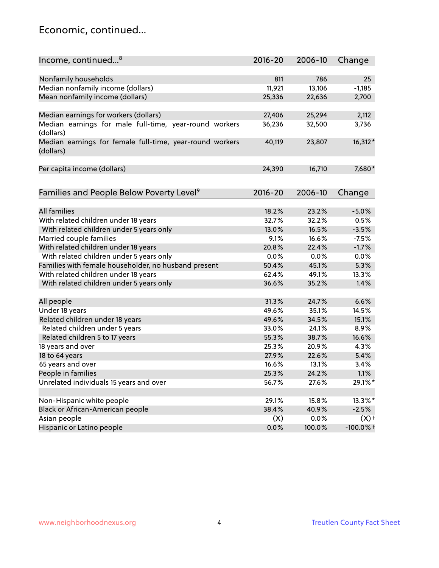### Economic, continued...

| Income, continued <sup>8</sup>                                        | $2016 - 20$ | 2006-10 | Change             |
|-----------------------------------------------------------------------|-------------|---------|--------------------|
|                                                                       |             |         |                    |
| Nonfamily households                                                  | 811         | 786     | 25                 |
| Median nonfamily income (dollars)                                     | 11,921      | 13,106  | $-1,185$           |
| Mean nonfamily income (dollars)                                       | 25,336      | 22,636  | 2,700              |
| Median earnings for workers (dollars)                                 | 27,406      | 25,294  | 2,112              |
| Median earnings for male full-time, year-round workers<br>(dollars)   | 36,236      | 32,500  | 3,736              |
| Median earnings for female full-time, year-round workers<br>(dollars) | 40,119      | 23,807  | 16,312*            |
| Per capita income (dollars)                                           | 24,390      | 16,710  | 7,680*             |
| Families and People Below Poverty Level <sup>9</sup>                  | $2016 - 20$ | 2006-10 | Change             |
|                                                                       |             |         |                    |
| <b>All families</b>                                                   | 18.2%       | 23.2%   | $-5.0%$            |
| With related children under 18 years                                  | 32.7%       | 32.2%   | 0.5%               |
| With related children under 5 years only                              | 13.0%       | 16.5%   | $-3.5%$            |
| Married couple families                                               | 9.1%        | 16.6%   | $-7.5%$            |
| With related children under 18 years                                  | 20.8%       | 22.4%   | $-1.7%$            |
| With related children under 5 years only                              | 0.0%        | 0.0%    | 0.0%               |
| Families with female householder, no husband present                  | 50.4%       | 45.1%   | 5.3%               |
| With related children under 18 years                                  | 62.4%       | 49.1%   | 13.3%              |
| With related children under 5 years only                              | 36.6%       | 35.2%   | 1.4%               |
| All people                                                            | 31.3%       | 24.7%   | 6.6%               |
| Under 18 years                                                        | 49.6%       | 35.1%   | 14.5%              |
| Related children under 18 years                                       | 49.6%       | 34.5%   | 15.1%              |
| Related children under 5 years                                        | 33.0%       | 24.1%   | 8.9%               |
| Related children 5 to 17 years                                        | 55.3%       | 38.7%   | 16.6%              |
| 18 years and over                                                     | 25.3%       | 20.9%   | 4.3%               |
| 18 to 64 years                                                        | 27.9%       | 22.6%   | 5.4%               |
| 65 years and over                                                     | 16.6%       | 13.1%   | 3.4%               |
| People in families                                                    | 25.3%       | 24.2%   | 1.1%               |
| Unrelated individuals 15 years and over                               | 56.7%       | 27.6%   | 29.1%*             |
|                                                                       |             |         |                    |
| Non-Hispanic white people                                             | 29.1%       | 15.8%   | 13.3%*             |
| Black or African-American people                                      | 38.4%       | 40.9%   | $-2.5%$            |
| Asian people                                                          | (X)         | 0.0%    | $(X)$ <sup>+</sup> |
| Hispanic or Latino people                                             | 0.0%        | 100.0%  | $-100.0\%$ t       |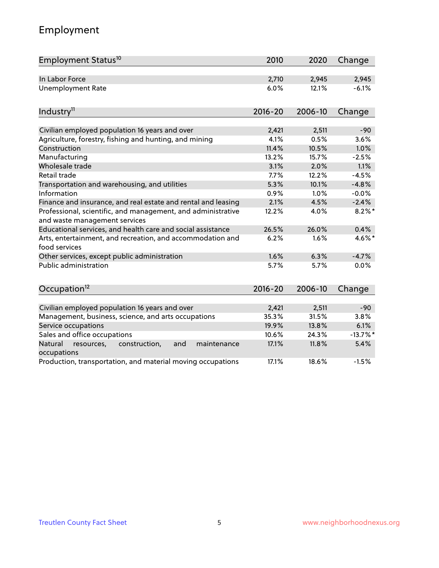## Employment

| Employment Status <sup>10</sup>                                                               | 2010        | 2020    | Change     |
|-----------------------------------------------------------------------------------------------|-------------|---------|------------|
| In Labor Force                                                                                | 2,710       | 2,945   | 2,945      |
| <b>Unemployment Rate</b>                                                                      | 6.0%        | 12.1%   | $-6.1%$    |
| Industry <sup>11</sup>                                                                        | $2016 - 20$ | 2006-10 | Change     |
|                                                                                               |             |         |            |
| Civilian employed population 16 years and over                                                | 2,421       | 2,511   | $-90$      |
| Agriculture, forestry, fishing and hunting, and mining                                        | 4.1%        | 0.5%    | 3.6%       |
| Construction                                                                                  | 11.4%       | 10.5%   | 1.0%       |
| Manufacturing                                                                                 | 13.2%       | 15.7%   | $-2.5%$    |
| Wholesale trade                                                                               | 3.1%        | 2.0%    | 1.1%       |
| Retail trade                                                                                  | 7.7%        | 12.2%   | $-4.5%$    |
| Transportation and warehousing, and utilities                                                 | 5.3%        | 10.1%   | $-4.8%$    |
| Information                                                                                   | 0.9%        | 1.0%    | $-0.0%$    |
| Finance and insurance, and real estate and rental and leasing                                 | 2.1%        | 4.5%    | $-2.4%$    |
| Professional, scientific, and management, and administrative<br>and waste management services | 12.2%       | 4.0%    | $8.2\%$ *  |
| Educational services, and health care and social assistance                                   | 26.5%       | 26.0%   | 0.4%       |
| Arts, entertainment, and recreation, and accommodation and<br>food services                   | 6.2%        | 1.6%    | 4.6%*      |
| Other services, except public administration                                                  | 1.6%        | 6.3%    | $-4.7%$    |
| Public administration                                                                         | 5.7%        | 5.7%    | 0.0%       |
| Occupation <sup>12</sup>                                                                      | $2016 - 20$ | 2006-10 | Change     |
|                                                                                               |             |         |            |
| Civilian employed population 16 years and over                                                | 2,421       | 2,511   | $-90$      |
| Management, business, science, and arts occupations                                           | 35.3%       | 31.5%   | 3.8%       |
| Service occupations                                                                           | 19.9%       | 13.8%   | 6.1%       |
| Sales and office occupations                                                                  | 10.6%       | 24.3%   | $-13.7%$ * |
| Natural<br>construction,<br>and<br>maintenance<br>resources,<br>occupations                   | 17.1%       | 11.8%   | 5.4%       |
| Production, transportation, and material moving occupations                                   | 17.1%       | 18.6%   | $-1.5%$    |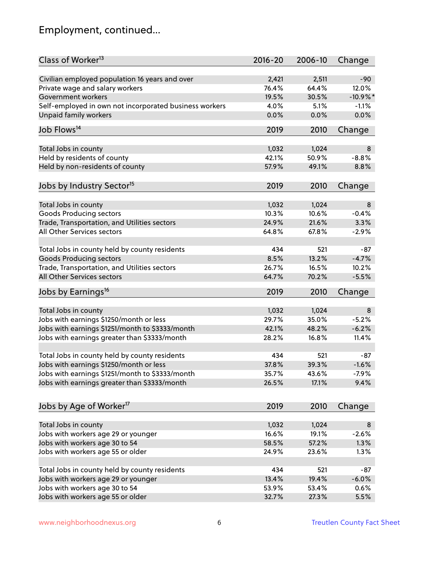## Employment, continued...

| Class of Worker <sup>13</sup>                          | $2016 - 20$ | 2006-10 | Change      |
|--------------------------------------------------------|-------------|---------|-------------|
| Civilian employed population 16 years and over         | 2,421       | 2,511   | $-90$       |
| Private wage and salary workers                        | 76.4%       | 64.4%   | 12.0%       |
| Government workers                                     | 19.5%       | 30.5%   | $-10.9\%$ * |
| Self-employed in own not incorporated business workers | 4.0%        | 5.1%    | $-1.1%$     |
| <b>Unpaid family workers</b>                           | 0.0%        | 0.0%    | 0.0%        |
|                                                        |             |         |             |
| Job Flows <sup>14</sup>                                | 2019        | 2010    | Change      |
| Total Jobs in county                                   | 1,032       | 1,024   | 8           |
| Held by residents of county                            | 42.1%       | 50.9%   | $-8.8%$     |
| Held by non-residents of county                        | 57.9%       | 49.1%   | 8.8%        |
|                                                        |             |         |             |
| Jobs by Industry Sector <sup>15</sup>                  | 2019        | 2010    | Change      |
| Total Jobs in county                                   | 1,032       | 1,024   | 8           |
| Goods Producing sectors                                | 10.3%       | 10.6%   | $-0.4%$     |
| Trade, Transportation, and Utilities sectors           | 24.9%       | 21.6%   | 3.3%        |
| All Other Services sectors                             | 64.8%       | 67.8%   | $-2.9%$     |
|                                                        |             |         |             |
| Total Jobs in county held by county residents          | 434         | 521     | $-87$       |
| <b>Goods Producing sectors</b>                         | 8.5%        | 13.2%   | $-4.7%$     |
| Trade, Transportation, and Utilities sectors           | 26.7%       | 16.5%   | 10.2%       |
| All Other Services sectors                             | 64.7%       | 70.2%   | $-5.5%$     |
| Jobs by Earnings <sup>16</sup>                         | 2019        | 2010    | Change      |
|                                                        |             |         |             |
| Total Jobs in county                                   | 1,032       | 1,024   | 8           |
| Jobs with earnings \$1250/month or less                | 29.7%       | 35.0%   | $-5.2%$     |
| Jobs with earnings \$1251/month to \$3333/month        | 42.1%       | 48.2%   | $-6.2%$     |
| Jobs with earnings greater than \$3333/month           | 28.2%       | 16.8%   | 11.4%       |
| Total Jobs in county held by county residents          | 434         | 521     | $-87$       |
| Jobs with earnings \$1250/month or less                | 37.8%       | 39.3%   | $-1.6%$     |
| Jobs with earnings \$1251/month to \$3333/month        | 35.7%       | 43.6%   | $-7.9\%$    |
| Jobs with earnings greater than \$3333/month           | 26.5%       | 17.1%   | 9.4%        |
|                                                        |             |         |             |
| Jobs by Age of Worker <sup>17</sup>                    | 2019        | 2010    | Change      |
|                                                        |             |         |             |
| Total Jobs in county                                   | 1,032       | 1,024   | 8           |
| Jobs with workers age 29 or younger                    | 16.6%       | 19.1%   | $-2.6%$     |
| Jobs with workers age 30 to 54                         | 58.5%       | 57.2%   | 1.3%        |
| Jobs with workers age 55 or older                      | 24.9%       | 23.6%   | 1.3%        |
| Total Jobs in county held by county residents          | 434         | 521     | $-87$       |
| Jobs with workers age 29 or younger                    | 13.4%       | 19.4%   | $-6.0%$     |
| Jobs with workers age 30 to 54                         | 53.9%       | 53.4%   | 0.6%        |
| Jobs with workers age 55 or older                      | 32.7%       | 27.3%   | 5.5%        |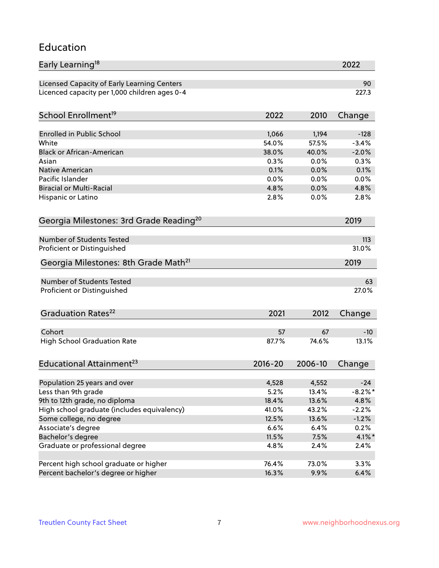#### Education

| Early Learning <sup>18</sup>                        |             |         | 2022       |
|-----------------------------------------------------|-------------|---------|------------|
| Licensed Capacity of Early Learning Centers         |             |         | 90         |
| Licenced capacity per 1,000 children ages 0-4       |             |         | 227.3      |
| School Enrollment <sup>19</sup>                     | 2022        | 2010    | Change     |
|                                                     |             |         |            |
| <b>Enrolled in Public School</b>                    | 1,066       | 1,194   | $-128$     |
| White                                               | 54.0%       | 57.5%   | $-3.4%$    |
| <b>Black or African-American</b>                    | 38.0%       | 40.0%   | $-2.0%$    |
| Asian                                               | 0.3%        | 0.0%    | 0.3%       |
| Native American                                     | 0.1%        | 0.0%    | 0.1%       |
| Pacific Islander                                    | 0.0%        | 0.0%    | 0.0%       |
| <b>Biracial or Multi-Racial</b>                     | 4.8%        | 0.0%    | 4.8%       |
| Hispanic or Latino                                  | 2.8%        | 0.0%    | 2.8%       |
| Georgia Milestones: 3rd Grade Reading <sup>20</sup> |             |         | 2019       |
|                                                     |             |         |            |
| <b>Number of Students Tested</b>                    |             |         | 113        |
| Proficient or Distinguished                         |             |         | 31.0%      |
| Georgia Milestones: 8th Grade Math <sup>21</sup>    |             |         | 2019       |
| <b>Number of Students Tested</b>                    |             |         | 63         |
| Proficient or Distinguished                         |             |         | 27.0%      |
| Graduation Rates <sup>22</sup>                      | 2021        | 2012    | Change     |
|                                                     |             |         |            |
| Cohort                                              | 57          | 67      | $-10$      |
| <b>High School Graduation Rate</b>                  | 87.7%       | 74.6%   | 13.1%      |
| Educational Attainment <sup>23</sup>                | $2016 - 20$ | 2006-10 | Change     |
|                                                     |             |         |            |
| Population 25 years and over                        | 4,528       | 4,552   | $-24$      |
| Less than 9th grade                                 | 5.2%        | 13.4%   | $-8.2\%$ * |
| 9th to 12th grade, no diploma                       | 18.4%       | 13.6%   | 4.8%       |
| High school graduate (includes equivalency)         | 41.0%       | 43.2%   | $-2.2%$    |
| Some college, no degree                             | 12.5%       | 13.6%   | $-1.2%$    |
| Associate's degree                                  | 6.6%        | 6.4%    | 0.2%       |
| Bachelor's degree                                   | 11.5%       | 7.5%    | $4.1\%$ *  |
| Graduate or professional degree                     | 4.8%        | 2.4%    | 2.4%       |
| Percent high school graduate or higher              | 76.4%       | 73.0%   | 3.3%       |
| Percent bachelor's degree or higher                 | 16.3%       | 9.9%    | 6.4%       |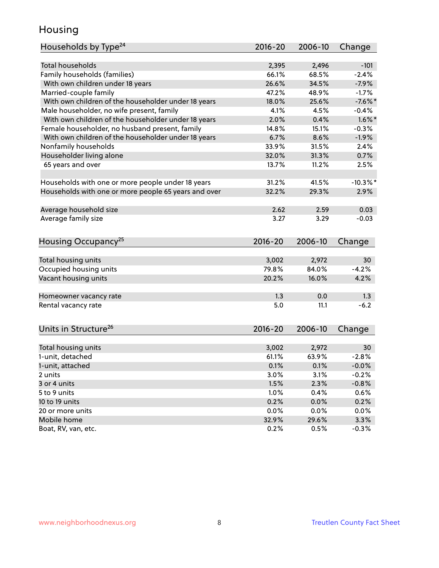### Housing

| Households by Type <sup>24</sup>                     | $2016 - 20$ | 2006-10 | Change      |
|------------------------------------------------------|-------------|---------|-------------|
|                                                      |             |         |             |
| <b>Total households</b>                              | 2,395       | 2,496   | $-101$      |
| Family households (families)                         | 66.1%       | 68.5%   | $-2.4%$     |
| With own children under 18 years                     | 26.6%       | 34.5%   | $-7.9%$     |
| Married-couple family                                | 47.2%       | 48.9%   | $-1.7%$     |
| With own children of the householder under 18 years  | 18.0%       | 25.6%   | $-7.6%$ *   |
| Male householder, no wife present, family            | 4.1%        | 4.5%    | $-0.4%$     |
| With own children of the householder under 18 years  | 2.0%        | 0.4%    | $1.6\%$ *   |
| Female householder, no husband present, family       | 14.8%       | 15.1%   | $-0.3%$     |
| With own children of the householder under 18 years  | 6.7%        | 8.6%    | $-1.9%$     |
| Nonfamily households                                 | 33.9%       | 31.5%   | 2.4%        |
| Householder living alone                             | 32.0%       | 31.3%   | 0.7%        |
| 65 years and over                                    | 13.7%       | 11.2%   | 2.5%        |
| Households with one or more people under 18 years    | 31.2%       | 41.5%   | $-10.3\%$ * |
| Households with one or more people 65 years and over | 32.2%       | 29.3%   | 2.9%        |
|                                                      |             |         |             |
| Average household size                               | 2.62        | 2.59    | 0.03        |
| Average family size                                  | 3.27        | 3.29    | $-0.03$     |
| Housing Occupancy <sup>25</sup>                      | $2016 - 20$ | 2006-10 | Change      |
|                                                      |             |         |             |
| Total housing units                                  | 3,002       | 2,972   | 30          |
| Occupied housing units                               | 79.8%       | 84.0%   | $-4.2%$     |
| Vacant housing units                                 | 20.2%       | 16.0%   | 4.2%        |
|                                                      |             |         |             |
| Homeowner vacancy rate                               | 1.3         | 0.0     | 1.3         |
| Rental vacancy rate                                  | 5.0         | 11.1    | $-6.2$      |
| Units in Structure <sup>26</sup>                     | 2016-20     | 2006-10 | Change      |
|                                                      |             |         |             |
| Total housing units                                  | 3,002       | 2,972   | 30          |
| 1-unit, detached                                     | 61.1%       | 63.9%   | $-2.8%$     |
| 1-unit, attached                                     | 0.1%        | 0.1%    | $-0.0%$     |
| 2 units                                              | 3.0%        | 3.1%    | $-0.2%$     |
| 3 or 4 units                                         | 1.5%        | 2.3%    | $-0.8%$     |
| 5 to 9 units                                         | 1.0%        | 0.4%    | 0.6%        |
| 10 to 19 units                                       | 0.2%        | 0.0%    | 0.2%        |
| 20 or more units                                     | 0.0%        | 0.0%    | 0.0%        |
| Mobile home                                          | 32.9%       | 29.6%   | 3.3%        |
| Boat, RV, van, etc.                                  | 0.2%        | 0.5%    | $-0.3%$     |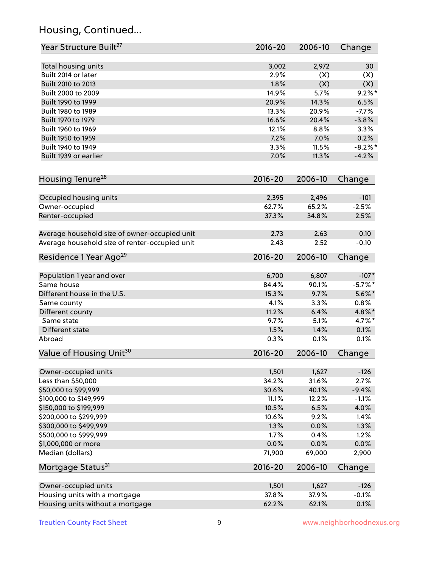## Housing, Continued...

| Year Structure Built <sup>27</sup>             | 2016-20        | 2006-10        | Change         |
|------------------------------------------------|----------------|----------------|----------------|
| Total housing units                            | 3,002          | 2,972          | 30             |
| Built 2014 or later                            | 2.9%           | (X)            | (X)            |
| Built 2010 to 2013                             | 1.8%           | (X)            | (X)            |
| Built 2000 to 2009                             | 14.9%          | 5.7%           | $9.2\%$ *      |
| Built 1990 to 1999                             | 20.9%          | 14.3%          | 6.5%           |
| Built 1980 to 1989                             | 13.3%          | 20.9%          | $-7.7%$        |
| Built 1970 to 1979                             | 16.6%          | 20.4%          | $-3.8%$        |
| Built 1960 to 1969                             | 12.1%          | 8.8%           | 3.3%           |
| Built 1950 to 1959                             | 7.2%           | 7.0%           | 0.2%           |
| Built 1940 to 1949                             | 3.3%           | 11.5%          | $-8.2\%$ *     |
| Built 1939 or earlier                          | 7.0%           | 11.3%          | $-4.2%$        |
|                                                |                |                |                |
| Housing Tenure <sup>28</sup>                   | $2016 - 20$    | 2006-10        | Change         |
|                                                |                |                |                |
| Occupied housing units                         | 2,395          | 2,496          | $-101$         |
| Owner-occupied                                 | 62.7%          | 65.2%          | $-2.5%$        |
| Renter-occupied                                | 37.3%          | 34.8%          | 2.5%           |
| Average household size of owner-occupied unit  | 2.73           | 2.63           | 0.10           |
| Average household size of renter-occupied unit | 2.43           | 2.52           | $-0.10$        |
| Residence 1 Year Ago <sup>29</sup>             | 2016-20        | 2006-10        | Change         |
|                                                |                |                |                |
| Population 1 year and over                     | 6,700          | 6,807          | $-107*$        |
| Same house                                     | 84.4%          | 90.1%          | $-5.7%$ *      |
| Different house in the U.S.                    | 15.3%          | 9.7%           | $5.6\%$ *      |
| Same county                                    | 4.1%           | 3.3%           | 0.8%           |
| Different county                               | 11.2%          | 6.4%           | 4.8%*          |
| Same state                                     | 9.7%           | 5.1%           | 4.7%*          |
| Different state                                | 1.5%           | 1.4%           | 0.1%           |
| Abroad                                         | 0.3%           | 0.1%           | 0.1%           |
| Value of Housing Unit <sup>30</sup>            | $2016 - 20$    | 2006-10        | Change         |
|                                                |                |                |                |
| Owner-occupied units                           | 1,501<br>34.2% | 1,627<br>31.6% | $-126$<br>2.7% |
| Less than \$50,000                             |                |                |                |
| \$50,000 to \$99,999                           | 30.6%          | 40.1%          | $-9.4%$        |
| \$100,000 to \$149,999                         | 11.1%          | 12.2%          | $-1.1%$        |
| \$150,000 to \$199,999                         | 10.5%          | 6.5%           | 4.0%           |
| \$200,000 to \$299,999                         | 10.6%          | 9.2%           | 1.4%           |
| \$300,000 to \$499,999                         | 1.3%           | 0.0%           | 1.3%           |
| \$500,000 to \$999,999                         | 1.7%           | 0.4%           | 1.2%           |
| \$1,000,000 or more                            | 0.0%           | 0.0%           | 0.0%           |
| Median (dollars)                               | 71,900         | 69,000         | 2,900          |
| Mortgage Status <sup>31</sup>                  | $2016 - 20$    | 2006-10        | Change         |
| Owner-occupied units                           | 1,501          | 1,627          | $-126$         |
| Housing units with a mortgage                  | 37.8%          | 37.9%          | $-0.1%$        |
| Housing units without a mortgage               | 62.2%          | 62.1%          | 0.1%           |
|                                                |                |                |                |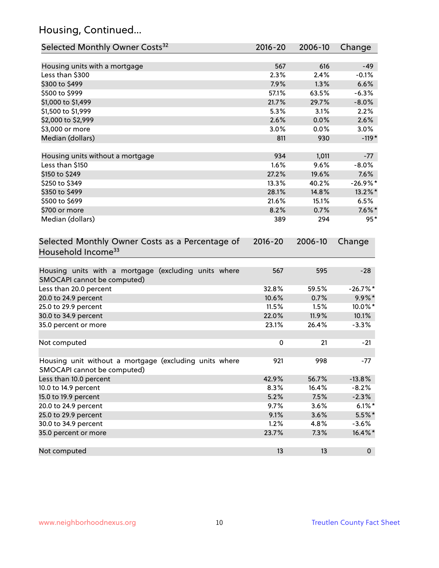## Housing, Continued...

| Selected Monthly Owner Costs <sup>32</sup>                                            | 2016-20     | 2006-10 | Change      |
|---------------------------------------------------------------------------------------|-------------|---------|-------------|
| Housing units with a mortgage                                                         | 567         | 616     | $-49$       |
| Less than \$300                                                                       | 2.3%        | 2.4%    | $-0.1%$     |
| \$300 to \$499                                                                        | 7.9%        | 1.3%    | 6.6%        |
| \$500 to \$999                                                                        | 57.1%       | 63.5%   | $-6.3%$     |
| \$1,000 to \$1,499                                                                    | 21.7%       | 29.7%   | $-8.0\%$    |
| \$1,500 to \$1,999                                                                    | 5.3%        | 3.1%    | 2.2%        |
| \$2,000 to \$2,999                                                                    | 2.6%        | 0.0%    | 2.6%        |
| \$3,000 or more                                                                       | 3.0%        | 0.0%    | 3.0%        |
| Median (dollars)                                                                      | 811         | 930     | $-119*$     |
| Housing units without a mortgage                                                      | 934         | 1,011   | $-77$       |
| Less than \$150                                                                       | 1.6%        | 9.6%    | $-8.0%$     |
| \$150 to \$249                                                                        | 27.2%       | 19.6%   | 7.6%        |
| \$250 to \$349                                                                        | 13.3%       | 40.2%   | $-26.9%$ *  |
| \$350 to \$499                                                                        | 28.1%       | 14.8%   | 13.2%*      |
| \$500 to \$699                                                                        | 21.6%       | 15.1%   | 6.5%        |
| \$700 or more                                                                         | 8.2%        | 0.7%    | $7.6\%$ *   |
| Median (dollars)                                                                      | 389         | 294     | $95*$       |
| Selected Monthly Owner Costs as a Percentage of<br>Household Income <sup>33</sup>     | $2016 - 20$ | 2006-10 | Change      |
| Housing units with a mortgage (excluding units where<br>SMOCAPI cannot be computed)   | 567         | 595     | $-28$       |
| Less than 20.0 percent                                                                | 32.8%       | 59.5%   | $-26.7%$ *  |
| 20.0 to 24.9 percent                                                                  | 10.6%       | 0.7%    | $9.9\% *$   |
| 25.0 to 29.9 percent                                                                  | 11.5%       | 1.5%    | 10.0%*      |
| 30.0 to 34.9 percent                                                                  | 22.0%       | 11.9%   | 10.1%       |
| 35.0 percent or more                                                                  | 23.1%       | 26.4%   | $-3.3%$     |
| Not computed                                                                          | $\pmb{0}$   | 21      | $-21$       |
| Housing unit without a mortgage (excluding units where<br>SMOCAPI cannot be computed) | 921         | 998     | $-77$       |
| Less than 10.0 percent                                                                | 42.9%       | 56.7%   | $-13.8%$    |
| 10.0 to 14.9 percent                                                                  | 8.3%        | 16.4%   | $-8.2%$     |
| 15.0 to 19.9 percent                                                                  | 5.2%        | 7.5%    | $-2.3%$     |
| 20.0 to 24.9 percent                                                                  | 9.7%        | 3.6%    | $6.1\%$ *   |
| 25.0 to 29.9 percent                                                                  | 9.1%        | 3.6%    | $5.5\%$ *   |
| 30.0 to 34.9 percent                                                                  | 1.2%        | 4.8%    | $-3.6%$     |
| 35.0 percent or more                                                                  | 23.7%       | 7.3%    | 16.4%*      |
| Not computed                                                                          | 13          | 13      | $\mathbf 0$ |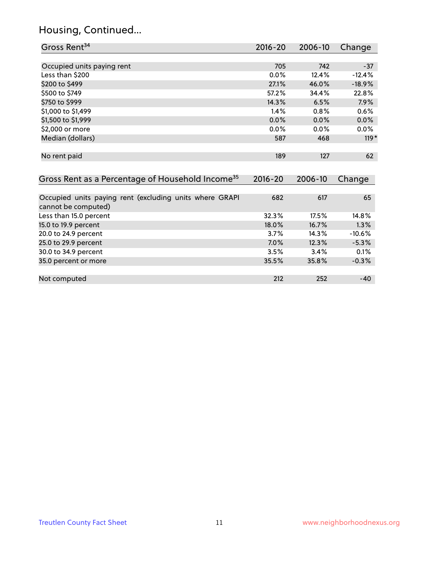## Housing, Continued...

| Gross Rent <sup>34</sup>                                                       | $2016 - 20$ | $2006 - 10$ | Change   |
|--------------------------------------------------------------------------------|-------------|-------------|----------|
|                                                                                |             |             |          |
| Occupied units paying rent                                                     | 705         | 742         | $-37$    |
| Less than \$200                                                                | 0.0%        | 12.4%       | $-12.4%$ |
| \$200 to \$499                                                                 | 27.1%       | 46.0%       | $-18.9%$ |
| \$500 to \$749                                                                 | 57.2%       | 34.4%       | 22.8%    |
| \$750 to \$999                                                                 | 14.3%       | 6.5%        | 7.9%     |
| \$1,000 to \$1,499                                                             | 1.4%        | 0.8%        | 0.6%     |
| \$1,500 to \$1,999                                                             | $0.0\%$     | 0.0%        | 0.0%     |
| \$2,000 or more                                                                | 0.0%        | 0.0%        | 0.0%     |
| Median (dollars)                                                               | 587         | 468         | $119*$   |
| No rent paid                                                                   | 189         | 127         | 62       |
| Gross Rent as a Percentage of Household Income <sup>35</sup>                   | $2016 - 20$ | 2006-10     | Change   |
| Occupied units paying rent (excluding units where GRAPI<br>cannot be computed) | 682         | 617         | 65       |
| Less than 15.0 percent                                                         | 32.3%       | 17.5%       | 14.8%    |
| 15.0 to 19.9 percent                                                           | 18.0%       | 16.7%       | 1.3%     |
| 20.0 to 24.9 percent                                                           | 3.7%        | 14.3%       | $-10.6%$ |
| 25.0 to 29.9 percent                                                           | 7.0%        | 12.3%       | $-5.3%$  |
| 30.0 to 34.9 percent                                                           | 3.5%        | 3.4%        | 0.1%     |
| 35.0 percent or more                                                           | 35.5%       | 35.8%       | $-0.3%$  |
| Not computed                                                                   | 212         | 252         | $-40$    |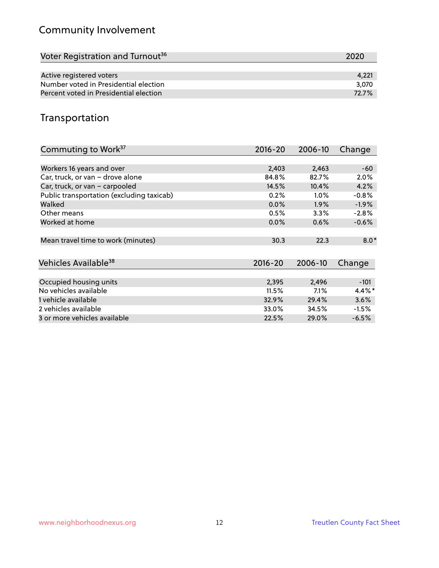## Community Involvement

| Voter Registration and Turnout <sup>36</sup> | 2020  |
|----------------------------------------------|-------|
|                                              |       |
| Active registered voters                     | 4.221 |
| Number voted in Presidential election        | 3.070 |
| Percent voted in Presidential election       | 72.7% |

## Transportation

| Commuting to Work <sup>37</sup>           | 2016-20 | 2006-10 | Change    |
|-------------------------------------------|---------|---------|-----------|
|                                           |         |         |           |
| Workers 16 years and over                 | 2,403   | 2,463   | -60       |
| Car, truck, or van - drove alone          | 84.8%   | 82.7%   | 2.0%      |
| Car, truck, or van - carpooled            | 14.5%   | 10.4%   | 4.2%      |
| Public transportation (excluding taxicab) | 0.2%    | $1.0\%$ | $-0.8%$   |
| Walked                                    | 0.0%    | $1.9\%$ | $-1.9%$   |
| Other means                               | 0.5%    | $3.3\%$ | $-2.8%$   |
| Worked at home                            | $0.0\%$ | 0.6%    | $-0.6%$   |
| Mean travel time to work (minutes)        | 30.3    | 22.3    | $8.0*$    |
| Vehicles Available <sup>38</sup>          | 2016-20 | 2006-10 | Change    |
| Occupied housing units                    | 2,395   | 2,496   | $-101$    |
| No vehicles available                     | 11.5%   | 7.1%    | $4.4\%$ * |
| 1 vehicle available                       | 32.9%   | 29.4%   | 3.6%      |
| 2 vehicles available                      | 33.0%   | 34.5%   | $-1.5%$   |
| 3 or more vehicles available              | 22.5%   | 29.0%   | $-6.5\%$  |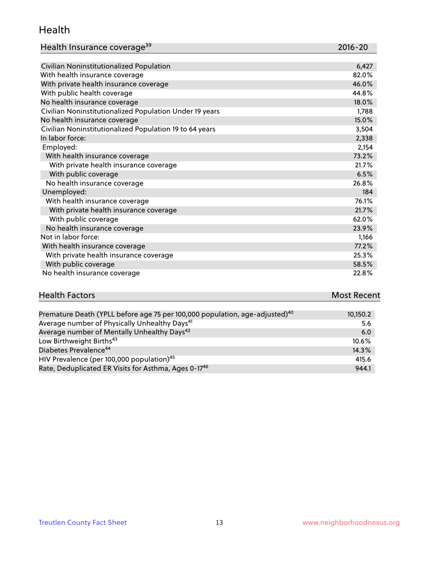#### Health

| Health Insurance coverage <sup>39</sup> | 2016-20 |
|-----------------------------------------|---------|
|-----------------------------------------|---------|

| Civilian Noninstitutionalized Population                | 6,427 |
|---------------------------------------------------------|-------|
| With health insurance coverage                          | 82.0% |
| With private health insurance coverage                  | 46.0% |
| With public health coverage                             | 44.8% |
| No health insurance coverage                            | 18.0% |
| Civilian Noninstitutionalized Population Under 19 years | 1,788 |
| No health insurance coverage                            | 15.0% |
| Civilian Noninstitutionalized Population 19 to 64 years | 3,504 |
| In labor force:                                         | 2,338 |
| Employed:                                               | 2,154 |
| With health insurance coverage                          | 73.2% |
| With private health insurance coverage                  | 21.7% |
| With public coverage                                    | 6.5%  |
| No health insurance coverage                            | 26.8% |
| Unemployed:                                             | 184   |
| With health insurance coverage                          | 76.1% |
| With private health insurance coverage                  | 21.7% |
| With public coverage                                    | 62.0% |
| No health insurance coverage                            | 23.9% |
| Not in labor force:                                     | 1,166 |
| With health insurance coverage                          | 77.2% |
| With private health insurance coverage                  | 25.3% |
| With public coverage                                    | 58.5% |
| No health insurance coverage                            | 22.8% |

# **Health Factors Most Recent** And The Control of the Control of The Control of The Control of The Control of The Control of The Control of The Control of The Control of The Control of The Control of The Control of The Contr

| Premature Death (YPLL before age 75 per 100,000 population, age-adjusted) <sup>40</sup> | 10,150.2 |
|-----------------------------------------------------------------------------------------|----------|
| Average number of Physically Unhealthy Days <sup>41</sup>                               | 5.6      |
| Average number of Mentally Unhealthy Days <sup>42</sup>                                 | 6.0      |
| Low Birthweight Births <sup>43</sup>                                                    | 10.6%    |
| Diabetes Prevalence <sup>44</sup>                                                       | $14.3\%$ |
| HIV Prevalence (per 100,000 population) <sup>45</sup>                                   | 415.6    |
| Rate, Deduplicated ER Visits for Asthma, Ages 0-17 <sup>46</sup>                        | 944.1    |